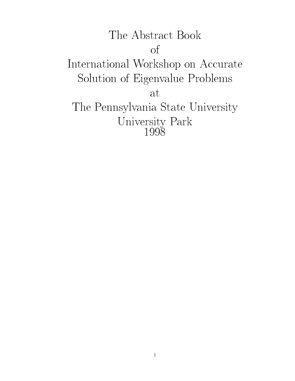# The Abstract Book of International Workshop on Accurate Solution of Eigenvalue Problems at The Pennsylvania State University University Park Company Park Company Park Company Park Company Park Company Park Company Park Company Park Company Park Company Park Company Park Company Park Company Park Company Park Company Park Company Park Company Par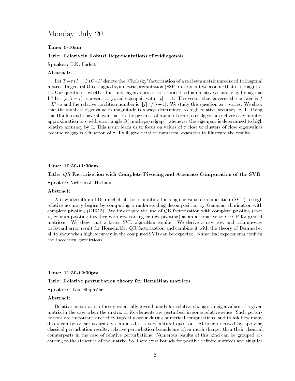### Monday, July 20

#### Time: 9-10am

#### Title: Relatively Robust Representations of tridiagonals

Speaker: B.N. Parlett

Let  $T-\tau I = L*O+L^t$  denote the 'Cholesky' factorization of a real symmetric unreduced tridiagonal matrix. In general O is a signed symmetric permutation (SSP) matrix but we assume that it is diag( $+/-$ 1). Our question is whether the small eigenvalues are determined to high relative accuracy by bidiagonal L? Let  $(s, \lambda - \tau)$  represent a typical eigenpair with  $||s|| = 1$ . The vector that governs the answer is f  $=L^t * s$  and the relative condition number is  $||f||^2/|\lambda - \tau|$ . We study this question as  $\tau$  varies. We show that the smallest eigenvalue in magnitude is always determined to high relative accuracy by L. Using this Dhillon and I have shown that, in the presence of roundoff error, our algorithm delivers a computed approximation to s with error angle O( macheps/relgap ) whenever the eigenpair is determined to high relative accuracy by L. This result leads us to focus on values of  $\tau$  close to clusters of close eigenvalues because relgap is a function of  $\tau$ . I will give detailed numerical examples to illustrate the results.

#### Time: 10:30-11:30am

#### Title: QR Factorization with Complete Pivoting and Accurate Computation of the SVD

Speaker: Nicholas J. Higham

#### Abstract:

A new algorithm of Demmel et al. for computing the singular value decomposition (SVD) to high relative accuracy begins by computing a rank-revealing decomposition by Gaussian elimination with complete pivoting (GECP). We investigate the use of QR factorization with complete pivoting (that is, column pivoting together with row sorting or row pivoting) as an alternative to GECP for graded matrices. We show that a faster SVD algorithm results. We derive a new row and column-wise backward error result for Householder QR factorization and combine it with the theory of Demmel et al. to show when high accuracy in the computed SVD can be expected. Numerical experiments confirm the theoretical predictions.

#### Time: 11:30-12:30pm

#### Title: Relative perturbation theory for Hermitian matrices

Speaker: Ivan Slapnicar

#### Abstract:

Relative perturbation theory essentially gives bounds for relative changes in eigenvalues of a given matrix in the case when the matrix or its elements are perturbed in some relative sense. Such perturbations are important since they typically occur during numerical computations, and to ask how many digits can be or are accurately computed is a very natural question. Although derived by applying classical perturbation results, relative perturbation bounds are often much sharper then their classical counterparts in the case of relative perturbations. Numerous results of this kind can be grouped according to the structure of the matrix. So, there exist bounds for positive definite matrices and singular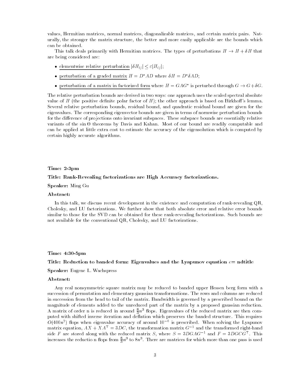values, Hermitian matrices, normal matrices, diagonalizable matrices, and certain matrix pairs. Naturally, the stronger the matrix structure, the better and more easily applicable are the bounds which can be obtained.

This talk deals primarily with Hermitian matrices. The types of perturbations  $H \to H + \delta H$  that are being considered are:

- elementwise relative perturbation  $|\delta H_{ij}| \leq \varepsilon |H_{ij}|;$
- $\bullet$  perturbation of a graded matrix  $H = D^* A D$  where  $\delta H = D^* \delta A D;$
- $\bullet$  perturbation of a matrix in factorized form where  $H\equiv GAG^*$  is perturbed through  $G\to G+ \delta G$ .

The relative perturbation bounds are derived in two ways: one approach uses the scaled spectral absolute value of H (the positive definite polar factor of  $H$ ); the other approach is based on Birkhoff's lemma. Several relative perturbation bounds, residual bound, and quadratic residual bound are given for the eigenvalues. The corresponding eigenvector bounds are given in terms of normwise perturbation bounds for the difference of projections onto invariant subspaces. These subspace bounds are essentially relative variants of the sin - theorems by Davis and Kahan. Most of our bound are readily computable and Kahan. Most of can be applied at little extra cost to estimate the accuracy of the eigensolution which is computed by certain highly accurate algorithms.

#### Time: 2-3pm

#### Title: Rank-Revealing factorizations are High Accuracy factorizations.

Speaker: Ming Gu

#### Abstract:

In this talk, we discuss recent development in the existence and computation of rank-revealing QR, Cholesky, and LU factorizations. We further show that both absolute error and relative error bounds similar to those for the SVD can be obtained for these rank-revealing factorizations. Such bounds are not available for the conventional QR, Cholesky, and LU factorizations.

#### Time: 4:30-5pm

#### Title: Reduction to banded form: Eigenvalues and the Lyapunov equation  $e=$  ndtitle

Speaker: Eugene L. Wachspress

#### Abstract:

Any real nonsymmetric square matrix may be reduced to banded upper Hessen berg form with a succession of permutation and elementary gaussian transformations. The rows and columns are reduced in succession from the head to tail of the matrix. Bandwidth is governed by a prescribed bound on the magnitude of elements added to the unreduced part of the matrix by a proposed gaussian reduction. A matrix of order n is reduced in around  $\frac{1}{3}n^\circ$  flops. Eigenvalues of the reduced matrix are then computed with shifted inverse iteration and deflation which preserves the banded structure. This requires O(400n") hops when eigenvalue accuracy of around 10 ° is prescribed. When solving the Lyapunov matrix equation,  $AX + XA^{\mathsf{T}} = 3DC$ , the transformation matrix  $G^{-1}$  and the transformed right-hand side F are stored along with the reduced matrix  $\beta$ , where  $\beta \equiv \beta DGAG$  and  $F \equiv \beta DGCG$ . This increases the reductio n flops from  $\frac{1}{3}n^\circ$  to 8 $n^\circ$  . There are matrices for which more than one pass is used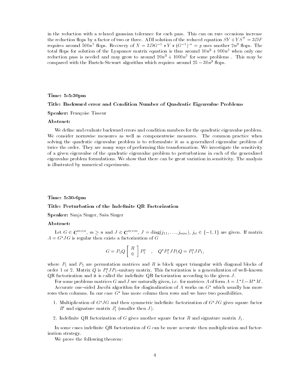in the reduction with a relaxed gaussian tolerance for each pass. This can on rare occasions increase the reduction flops by a factor of two or three. ADI solution of the reduced equation  $SY + YS^{\mathsf{T}} = 3DF$ requires around 500 $n^2$  flops. Recovery of  $X = 3DG_1^2 \cdot Y * (G_1^2)^2 = p$  uses another  $2n^2$  flops. The total flops for solution of the Lyapunov matrix equation is thus around  $10n^3 + 900n^2$  when only one reduction pass is needed and may grow to around  $\angle 0n^+ + 1000n^-$  for some problems . This may be compared with the Bartels-Stewart algorithm which requires around  $25 - 30n^3$  flops.

#### Time: 5-5:30pm

#### Title: Backward error and Condition Number of Quadratic Eigenvalue Problems

Speaker: Françoise Tisseur

#### Abstract:

We define and evaluate backward errors and condition numbers for the quadratic eigenvalue problem. We consider normwise measures as well as componentwise measures. The common practice when solving the quadratic eigenvalue problem is to reformulate it as a generalized eigenvalue problem of twice the order. They are many ways of performing this transformation. We investigate the sensitivity of a given eigenvalue of the quadratic eigenvalue problem to perturbations in each of the generalized eigenvalue problem formulations. We show that there can be great variation in sensitivity. The analysis is illustrated by numerical experiments.

#### Time: 5:30-6pm

#### Title: Perturbation of the Indefinite QR Factorization

Speaker: Sanja Singer, Sasa Singer

#### Abstract:

Let  $G \in \mathbf{C}^{m \times n}$ ,  $m \ge n$  and  $J \in \mathbf{C}^{m \times m}$ ,  $J = \text{diag}(j_{11}, \ldots, j_{mm})$ ,  $j_{ii} \in \{-1, 1\}$  are given. If matrix  $A = G^* J G$  is regular then exists a factorization of G

$$
G = P_1 Q \left[ \begin{array}{c} R \\ 0 \end{array} \right] P_2^* \quad , \quad Q^* P_1^* J P_1 Q = P_1^* J P_1,
$$

where  $P_1$  and  $P_2$  are permutation matrices and R is block upper triangular with diagonal blocks of order 1 or 2. Matrix  $Q$  is  $P_1$  JP1=unitary matrix. This factorization is a generalization of well-known  $QR$  factorization and it is called the indefinite  $QR$  factorization according to the given  $J$ .

For some problems matrices G and J are naturally given, i.e. for matrices A of form  $A = L^*L-M^*M$ .

Accurate one-sided Jacobi algorithm for diaginalization of A works on  $G^*$  which usually has more rows then columns. In our case  $G^*$  has more colums then rows and we have two possibilities.

- 1. Multiplication of  $G^*JG$  and then symmetric indefinite factorization of  $G^*JG$  gives square factor R' and signature matrix  $J_1'$  (smaller then J).
- 2. Indefinite QR factorization of G gives another square factor R and signature matrix  $J_1$ .

In some cases indefinite QR factorization of  $G$  can be more accurate then multiplication and factorization strategy.

We prove the following theorem: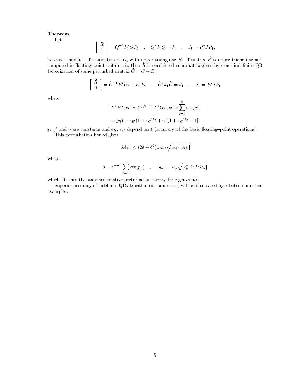#### Theorem.

Let

$$
\left[ \begin{array}{c} R \\ 0 \end{array} \right] = Q^{-1} P_1^* G P_2 \quad , \quad Q^* J_1 Q = J_1 \quad , \quad J_1 = P_1^* J P_1,
$$

be exact indefinite factorization of  $G$ , with upper triangular  $R$ . If matrix  $\widetilde{R}$  is upper triangular and computed in floating-point arithmetic, then  $R$  is considered as a matrix given by exact indefinite QR factorization of some perturbed matrix  $\tilde{G} = G + E$ ,

$$
\begin{bmatrix}\n\widetilde{R} \\
0\n\end{bmatrix} = \widetilde{Q}^{-1} P_1^* (G + E) P_2 \quad , \quad \widetilde{Q}^* J_1 \widetilde{Q} = J_1 \quad , \quad J_1 = P_1^* J P_1
$$

where

$$
||P_1^*EP_2e_k||_2 \le \gamma^{k-1}||P_1^*GP_2e_k||_2 \sum_{i=1}^k \text{err}(p_i),
$$
  
 
$$
\text{err}(p_i) = e_H(1 + e_G)^{p_i} + \gamma [(1 + e_G)^{p_i} - 1].
$$

 $p_i$ ,  $\beta$  and  $\gamma$  are constants and  $e_G$ ,  $e_H$  depend on  $\varepsilon$  (accuracy of the basic floating-point operations). This perturbation bound gives

$$
|\delta A_{ij}| \le (2\delta + \delta^2) \omega_i \omega_j \sqrt{|A_{ii}| |A_{jj}|}
$$

where

$$
\delta = \gamma^{n-1} \sum_{i=1}^{n} \text{err}(p_n) \quad , \quad ||g_k|| = \omega_k \sqrt{|e_k^* G^* J G e_k|}
$$

which fits into the standard relative perturbation theory for eigenvalues.

Superior accuracy of indefinite QR algorithm (in some cases) will be illustrated by selected numerical examples.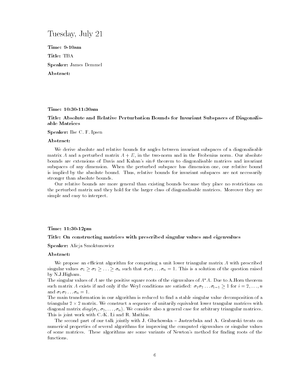### Tuesday, July 21

Time: 9-10am Title: TBA Speaker: James Demmel Abstract:

Time: 10:30-11:30am

## Title: Absolute and Relative Perturbation Bounds for Invariant Subspaces of Diagonalis-

Speaker: Ilse C. F. Ipsen

#### Abstract:

We derive absolute and relative bounds for angles between invariant subspaces of a diagonalisable matrix A and a perturbed matrix  $A + E$ , in the two-norm and in the Frobenius norm. Our absolute bounds are extensions of Davis and Kahan's  $\sin \theta$  theorem to diagonalisable matrices and invariant subspaces of any dimension. When the perturbed subspace has dimension one, our relative bound is implied by the absolute bound. Thus, relative bounds for invariant subspaces are not necessarily stronger than absolute bounds.

Our relative bounds are more general than existing bounds because they place no restrictions on the perturbed matrix and they hold for the larger class of diagonalisable matrices. Moreover they are simple and easy to interpret.

#### Time: 11:30-12pm

#### Title: On constructing matrices with prescribed singular values and eigenvalues

Speaker: Alicja Smoktunowicz

#### Abstract:

We propose an efficient algorithm for computing a unit lower triangular matrix  $A$  with prescribed singular values  $\sigma_1 \ge \sigma_2 \ge \ldots \ge \sigma_n$  such that  $\sigma_1 \sigma_2 \ldots \sigma_n = 1$ . This is a solution of the question raised by N.J.Higham.

The singular values of  $A$  are the positive square roots of the eigenvalues of  $A^*A$ . Due to A.Horn theorem such matrix A exists if and only if the Weyl conditions are satisfied:  $\sigma_1 \sigma_2 \ldots \sigma_{i-1} \geq 1$  for  $i = 2, \ldots, n$ and  $\sigma_1 \sigma_2 \ldots \sigma_n = 1$ .

The main transformation in our algorithm is reduced to find a stable singular value decomposition of a triangular 2  $\times$  2 matrix. We construct a sequence of unitarily equivalent lower trangular matrices with diagonal matrix  $diag(\sigma_1, \sigma_2, \ldots, \sigma_n)$ . We consider also a general case for arbitrary triangular matrices. This is joint work with C.-K. Li and R. Mathias.

The second part of our talk jointly with J. Gluchowska - Jastrzebska and A. Grabarski treats on numerical properties of several algorithms for improving the computed eigenvalues or singular values of some matrices. These algorithms are some variants of Newton's method for finding roots of the functions.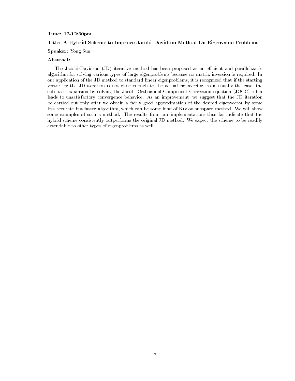#### Time: 12-12:30pm

#### Title: A Hybrid Scheme to Improve Jacobi-Davidson Method On Eigenvalue Problems

### Speaker: Yong Sun

#### Abstract:

The Jacobi-Davidson (JD) iterative method has been proposed as an efficient and parallelizable algorithm for solving various types of large eigenproblems because no matrix inversion is required. In our application of the JD method to standard linear eigenproblems, it is recognized that if the starting vector for the JD iteration is not close enough to the actual eigenvector, as is usually the case, the subspace expansion by solving the Jacobi Orthogonal Component Correction equation (JOCC) often leads to unsatisfactory convergence behavior. As an improvement, we suggest that the JD iteration be carried out only after we obtain a fairly good approximation of the desired eigenvector by some less accurate but faster algorithm, which can be some kind of Krylov subspace method. We will show some examples of such a method. The results from our implementations thus far indicate that the hybrid scheme consistently outperforms the original JD method. We expect the scheme to be readily extendable to other types of eigenproblems as well.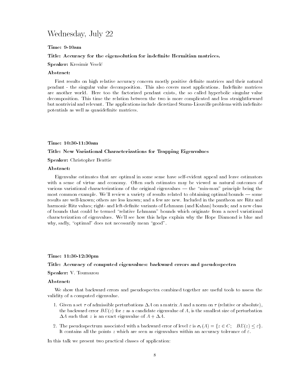### Wednesday, July 22

#### Time: 9-10am

#### Title: Accuracy for the eigensolution for indefinite Hermitian matrices.

#### Speaker: Kresimir Veselc

#### Abstract:

First results on high relative accuracy concern mostly positive definite matrices and their natural pendant - the singular value decomposition. This also covers most applications. Indefinite matrices are another world. Here too the factorized pendant exists, the so called hyperbolic singular value decomposition. This time the relation between the two is more complicated and less straightforward but nontrivial and relevant. The applications include dicretized Sturm-Liouville problems with indefinite potentials as well as quasidefinite matrices.

#### Time: 10:30-11:30am

#### Title: New Variational Characterizations for Trapping Eigenvalues

Speaker: Christopher Beattie

#### Abstract:

Eigenvalue estimates that are optimal in some sense have self-evident appeal and leave estimators with a sense of virtue and economy. Often such estimates may be viewed as natural outcomes of various variational characterizations of the original eigenvalues  $-$  the "min-max" principle being the most common example. We'll review a variety of results related to obtaining optimal bounds  $-$  some results are well-known; others are less known; and a few are new. Included in the pantheon are Ritz and harmonic Ritz values; right- and left-definite variants of Lehmann (and Kahan) bounds; and a new class of bounds that could be termed "relative Lehmann" bounds which originate from a novel variational characterization of eigenvalues. We'll see how this helps explain why the Hope Diamond is blue and why, sadly, "optimal" does not necessarily mean "good".

#### Time: 11:30-12:30pm

#### Title: Accuracy of computed eigenvalues: backward errors and pseudospectra

#### Speaker: V. Toumazou

#### Abstract:

We show that backward errors and pseudospectra combined together are useful tools to assess the validity of a computed eigenvalue.

- 1. Given a set  $\tau$  of admissible perturbations  $\Delta A$  on a matrix A and a norm on  $\tau$  (relative or absolute), the backward error  $BE(z)$  for z as a candidate eigenvalue of A, is the smallest size of perturbation  $\Delta A$  such that z is an exact eigenvalue of  $A + \Delta A$ .
- 2. The pseudospectrum associated with a backward error of level  $\varepsilon$  is  $\sigma_{\varepsilon}(A) = \{z \in C; \quad BE(z) \leq \varepsilon\}.$ It contains all the points z which are seen as eigenvalues within an accuracy tolerance of  $\varepsilon$ .

In this talk we present two practical classes of application: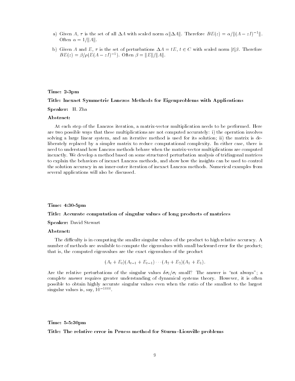- a) Given A,  $\tau$  is the set of all  $\Delta A$  with scaled norm  $\alpha ||\Delta A||$ . Therefore  $BE(z) = \alpha/||(A zI)^{-1}||$ . Often  $\alpha = 1/||A||$ .
- b) Given A and E,  $\tau$  is the set of perturbations  $\Delta A = tE$ ,  $t \in C$  with scaled norm  $|t|\beta$ . Therefore  $BE(z) = \frac{\beta}{\rho(E(A - zI)^{-1})}$ . Often  $\beta = ||E||/||A||$ .

#### Time: 2-3pm

#### Title: Inexact Symmetric Lanczos Methods for Eigenproblems with Applications

Speaker: H. Zha

#### Abstract:

At each step of the Lanczos iteration, a matrix-vector multiplication needs to be performed. Here are two possible ways that these multiplications are not computed accurately: i) the operation involves solving a large linear system, and an iterative method is used for its solution; ii) the matrix is deliberately replaced by a simpler matrix to reduce computational complexity. In either case, there is need to understand how Lanczos methods behave when the matrix-vector multiplications are computed inexactly. We develop a method based on some structured perturbation analysis of tridiagonal matrices to explain the behaviors of inexact Lanczos methods, and show how the insights can be used to control the solution accuracy in an inner-outer iteration of inexact Lanczos methods. Numerical examples from several applications will also be discussed.

#### Time: 4:30-5pm

#### Title: Accurate computation of singular values of long products of matrices

Speaker: David Stewart

#### Abstract:

The difficulty is in computing the smaller singular values of the product to high relative accuracy. A number of methods are available to compute the eigenvalues with small backward error for the product; that is, the computed eigenvalues are the exact eigenvalues of the product

$$
(A_t + E_t)(A_{t-1} + E_{t-1}) \cdots (A_2 + E_2)(A_1 + E_1).
$$

Are the relative perturbations of the singular values  $\delta\sigma_i/\sigma_i$  small? The answer is "not always"; a complete answer requires greater understanding of dynamical systems theory. However, it is often possible to obtain highly accurate singular values even when the ratio of the smallest to the largest singular values is, say,  $10^{-1000}$ .

#### Time: 5-5:30pm

#### Title: The relative error in Pruess method for Sturm-Liouville problems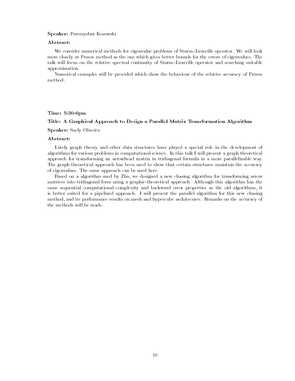#### Speaker: Przemysław Kosowski

#### Abstract:

We consider numerical methods for eigenvalue problems of Sturm-Liouville operator. We will look more closely at Pruess method as the one which gives better bounds for the errors of eigenvalues. The talk will focus on the relative spectral continuity of Sturm-Liouville operator and searching suitable approximation.

Numerical examples will be provided which show the behaviour of the relative accuracy of Pruess method.

#### Time: 5:30-6pm

#### Title: A Graphical Approach to Design a Parallel Matrix Transformation Algorithm

#### Speaker: Suely Oliveira

#### Abstract:

Lately graph theory and other data structures have played a special role in the development of algorithms for various problems in computational science. In this talk I will present a graph theoretical approach for transforming an arrowhead matrix in tridiagonal formula in a more parallelizable way. The graph theoretical approach has been used to show that certain structures maintain the accuracy of eigenvalues. The same approach can be used here.

Based on a algorithm used by Zha, we designed a new chasing algorithm for transforming arrow matrices into tridiagonal form using a graphic-theoretical approach. Although this algorithm has the same sequential computational complexity and backward error properties as the old algorithms, it is better suited for a pipelined approach. I will present the parallel algorithm for this new chasing method, and its performance results on mesh and hypercube architecures. Remarks on the accuracy of the methods will be made.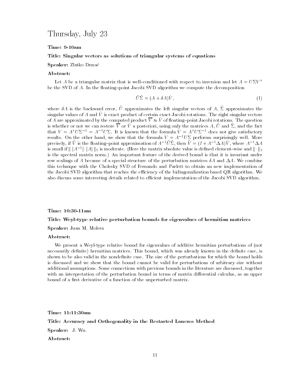### Thursday, July 23

#### Time: 9-10am

#### Title: Singular vectors as solutions of triangular systems of equations

#### Speaker: Zlatko Drmac

#### Abstract:

Let A be a triangular matrix that is well-conditioned with respect to inversion and let  $A = U \Sigma V^{\tau}$ be the SVD of  $A$ . In the floating-point Jacobi SVD algorithm we compute the decomposition

$$
\tilde{U}\tilde{\Sigma} = (A + \delta A)\hat{V},\tag{1}
$$

where  $\sigma$  is the backward error,  $U$  approximates the left singular vectors of  $A$ ,  $\omega$  approximates the  $\sin$ gular values of A and V is exact product of certain exact Jacobi rotations. The right singular vectors of A are approximated by the computed product  $\overline{V} \approx \hat{V}$  of floating-point Jacobi rotations. The question is whether or not we can restore  $\overline{V}$  or  $\hat{V}$  a posteriori, using only the matrices A,  $\hat{U}$  and  $\hat{\Sigma}$ , and the fact that  $V = A^{\tau} U \Sigma^{-1} = A^{-1} U \Sigma$ . It is known that the formula  $V = A^{\tau} U \Sigma^{-1}$  does not give satisfactory results. On the other hand, we show that the formula  $V = A^{-1}U\Sigma$  performs surprisingly well. More precisely, if v\_is the hoating=point approximation of A<sup>--</sup>  $U\Delta$ , then  $V = (I + A^{-1}\Delta A)V$ , where A<sup>--</sup>  $\Delta A$ is small if  $\|A^{-1}\cdot |A|\|_2$  is moderate. (Here the matrix absolute value is defined element-wise and  $\|\cdot\|_2$ is the spectral matrix norm.) An important feature of the derived bound is that it is invariant under row scalings of A because of a special structure of the perturbation matrices  $\delta A$  and  $\Delta A$ . We combine this technique with the Cholesky SVD of Fernando and Parlett to obtain an new implementation of the Jacobi SVD algorithm that reaches the efficiency of the bidiagonalization based QR algorithm. We also discuss some interesting details related to efficient implementation of the Jacobi SVD algorithm.

#### Time: 10:30-11am

#### Title: Weyl-type relative perturbation bounds for eigenvalues of hermitian matrices

#### Speaker: Juan M. Molera

#### Abstract:

We present a Weyl-type relative bound for eigenvalues of additive hermitian perturbations of (not necessarily definite) hermitian matrices. This bound, which was already known in the definite case, is shown to be also valid in the nondefinite case. The size of the perturbations for which the bound holds is discussed and we show that the bound cannot be valid for perturbations of arbitrary size without additional assumptions. Some connections with previous bounds in the literature are discussed, together with an interpretation of the perturbation bound in terms of matrix differential calculus, as an upper bound of a first derivative of a function of the unperturbed matrix.

Time: 11:11:30am Title: Accuracy and Orthogonality in the Restarted Lanczos Method Speaker: J. Wu. Abstract: